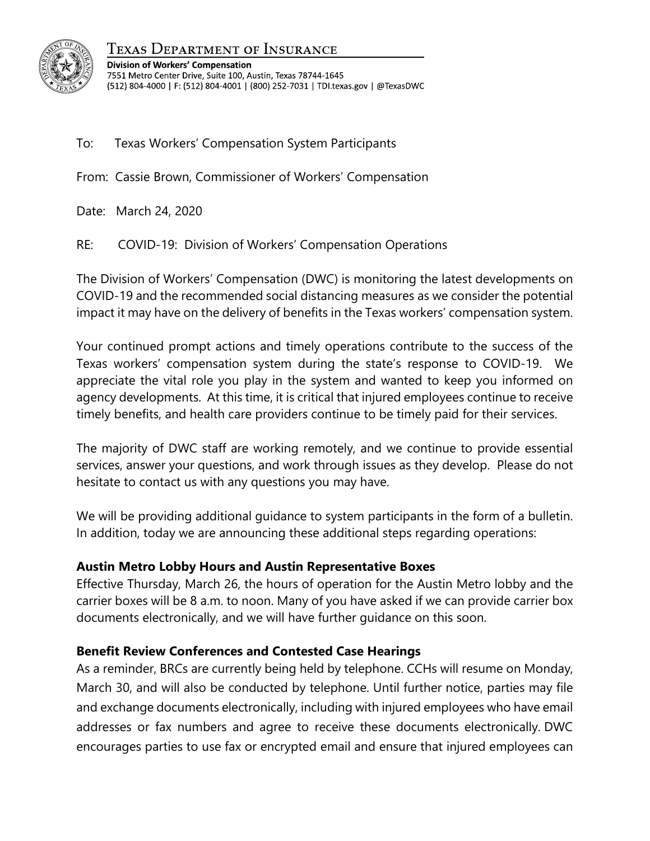

Texas Department of Insurance

**Division of Workers' Compensation** 7551 Metro Center Drive, Suite 100, Austin, Texas 78744-1645 (512) 804-4000 | F: (512) 804-4001 | (800) 252-7031 | TDI.texas.gov | @TexasDWC

To: Texas Workers' Compensation System Participants

From: Cassie Brown, Commissioner of Workers' Compensation

Date: March 24, 2020

RE: COVID-19: Division of Workers' Compensation Operations

The Division of Workers' Compensation (DWC) is monitoring the latest developments on COVID-19 and the recommended social distancing measures as we consider the potential impact it may have on the delivery of benefits in the Texas workers' compensation system.

Your continued prompt actions and timely operations contribute to the success of the Texas workers' compensation system during the state's response to COVID-19. We appreciate the vital role you play in the system and wanted to keep you informed on agency developments. At this time, it is critical that injured employees continue to receive timely benefits, and health care providers continue to be timely paid for their services.

The majority of DWC staff are working remotely, and we continue to provide essential services, answer your questions, and work through issues as they develop. Please do not hesitate to contact us with any questions you may have.

We will be providing additional guidance to system participants in the form of a bulletin. In addition, today we are announcing these additional steps regarding operations:

## **Austin Metro Lobby Hours and Austin Representative Boxes**

Effective Thursday, March 26, the hours of operation for the Austin Metro lobby and the carrier boxes will be 8 a.m. to noon. Many of you have asked if we can provide carrier box documents electronically, and we will have further guidance on this soon.

## **Benefit Review Conferences and Contested Case Hearings**

As a reminder, BRCs are currently being held by telephone. CCHs will resume on Monday, March 30, and will also be conducted by telephone. Until further notice, parties may file and exchange documents electronically, including with injured employees who have email addresses or fax numbers and agree to receive these documents electronically. DWC encourages parties to use fax or encrypted email and ensure that injured employees can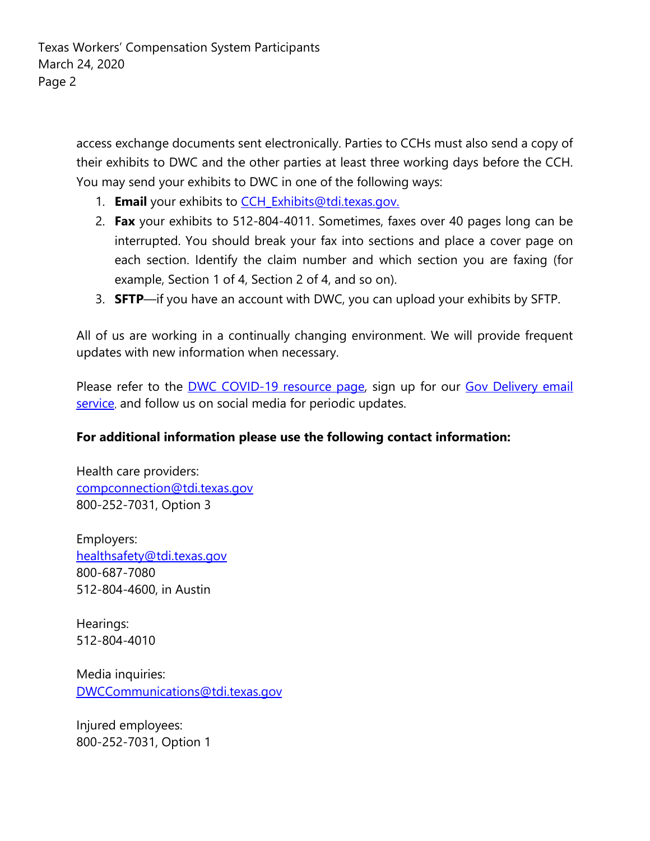access exchange documents sent electronically. Parties to CCHs must also send a copy of their exhibits to DWC and the other parties at least three working days before the CCH. You may send your exhibits to DWC in one of the following ways:

- 1. **Email** your exhibits to [CCH\\_Exhibits@tdi.texas.gov.](mailto:CCH_Exhibits@tdi.texas.gov)
- 2. **Fax** your exhibits to 512-804-4011. Sometimes, faxes over 40 pages long can be interrupted. You should break your fax into sections and place a cover page on each section. Identify the claim number and which section you are faxing (for example, Section 1 of 4, Section 2 of 4, and so on).
- 3. **SFTP**—if you have an account with DWC, you can upload your exhibits by SFTP.

All of us are working in a continually changing environment. We will provide frequent updates with new information when necessary.

Please refer to the [DWC COVID-19 resource page,](https://www.tdi.texas.gov/wc/information/coronavirus.html) sign up for our Gov Delivery email [service](https://public.govdelivery.com/accounts/TXINSUR/subscriber/new?topic_id=TXINSUR_31), and follow us on social media for periodic updates.

## **For additional information please use the following contact information:**

Health care providers: [compconnection@tdi.texas.gov](mailto:compconnection@tdi.texas.gov) 800-252-7031, Option 3

Employers: [healthsafety@tdi.texas.gov](mailto:healthsafety@tdi.texas.gov) 800-687-7080 512-804-4600, in Austin

Hearings: 512-804-4010

Media inquiries: [DWCCommunications@tdi.texas.gov](mailto:DWCCommunications@tdi.texas.gov)

Injured employees: 800-252-7031, Option 1